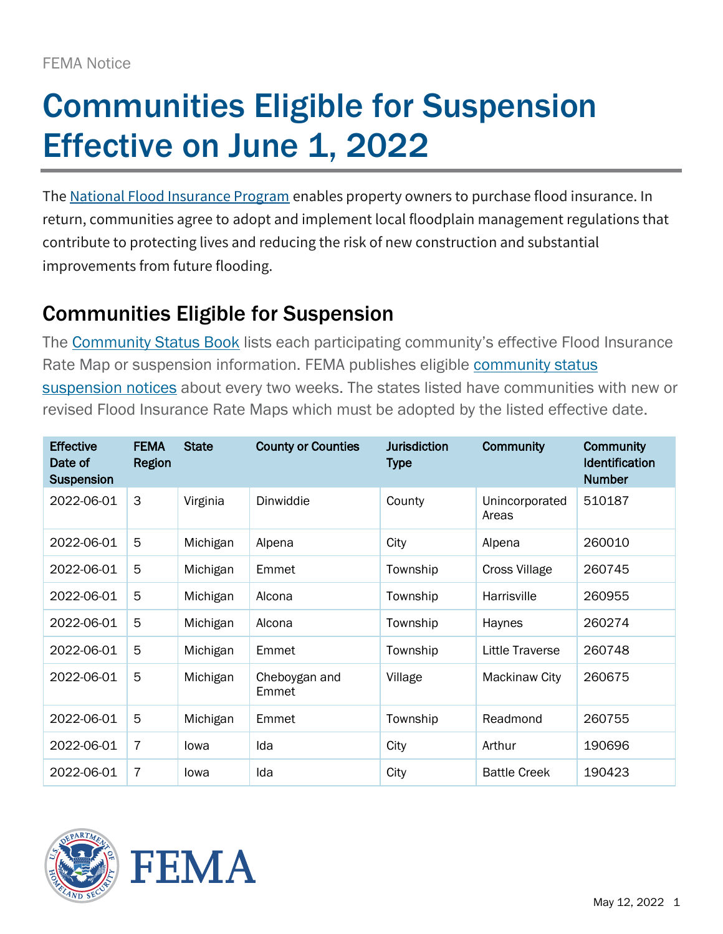## Communities Eligible for Suspension Effective on June 1, 2022

The [National Flood Insurance Program](https://www.fema.gov/flood-insurance) enables property owners to purchase flood insurance. In return, communities agree to adopt and implement local floodplain management regulations that contribute to protecting lives and reducing the risk of new construction and substantial improvements from future flooding.

## Communities Eligible for Suspension

The [Community Status Book](https://www.fema.gov/flood-insurance/work-with-nfip/community-status-book/public-notification) lists each participating community's effective Flood Insurance Rate Map or suspension information. FEMA publishes eligible community status [suspension notices](https://www.fema.gov/flood-insurance/work-with-nfip/community-status-book/public-notification) about every two weeks. The states listed have communities with new or revised Flood Insurance Rate Maps which must be adopted by the listed effective date.

| <b>Effective</b><br>Date of<br><b>Suspension</b> | <b>FEMA</b><br>Region | <b>State</b> | <b>County or Counties</b> | <b>Jurisdiction</b><br><b>Type</b> | <b>Community</b>        | <b>Community</b><br>Identification<br><b>Number</b> |
|--------------------------------------------------|-----------------------|--------------|---------------------------|------------------------------------|-------------------------|-----------------------------------------------------|
| 2022-06-01                                       | 3                     | Virginia     | Dinwiddie                 | County                             | Unincorporated<br>Areas | 510187                                              |
| 2022-06-01                                       | 5                     | Michigan     | Alpena                    | City                               | Alpena                  | 260010                                              |
| 2022-06-01                                       | 5                     | Michigan     | Emmet                     | Township                           | <b>Cross Village</b>    | 260745                                              |
| 2022-06-01                                       | 5                     | Michigan     | Alcona                    | Township                           | Harrisville             | 260955                                              |
| 2022-06-01                                       | 5                     | Michigan     | Alcona                    | Township                           | Haynes                  | 260274                                              |
| 2022-06-01                                       | 5                     | Michigan     | Emmet                     | Township                           | Little Traverse         | 260748                                              |
| 2022-06-01                                       | 5                     | Michigan     | Cheboygan and<br>Emmet    | Village                            | Mackinaw City           | 260675                                              |
| 2022-06-01                                       | 5                     | Michigan     | Emmet                     | Township                           | Readmond                | 260755                                              |
| 2022-06-01                                       | 7                     | lowa         | Ida                       | City                               | Arthur                  | 190696                                              |
| 2022-06-01                                       | 7                     | lowa         | Ida                       | City                               | <b>Battle Creek</b>     | 190423                                              |